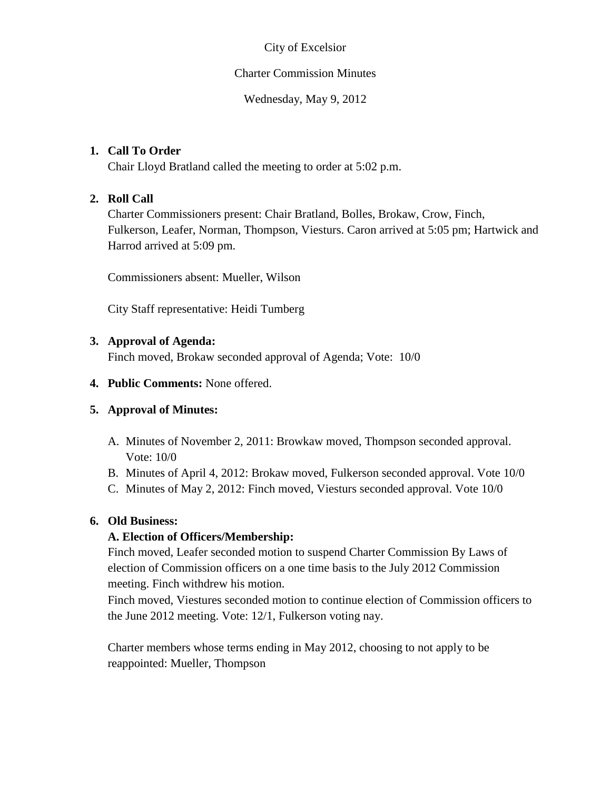### City of Excelsior

#### Charter Commission Minutes

Wednesday, May 9, 2012

### **1. Call To Order**

Chair Lloyd Bratland called the meeting to order at 5:02 p.m.

# **2. Roll Call**

Charter Commissioners present: Chair Bratland, Bolles, Brokaw, Crow, Finch, Fulkerson, Leafer, Norman, Thompson, Viesturs. Caron arrived at 5:05 pm; Hartwick and Harrod arrived at 5:09 pm.

Commissioners absent: Mueller, Wilson

City Staff representative: Heidi Tumberg

# **3. Approval of Agenda:**

Finch moved, Brokaw seconded approval of Agenda; Vote: 10/0

### **4. Public Comments:** None offered.

# **5. Approval of Minutes:**

- A. Minutes of November 2, 2011: Browkaw moved, Thompson seconded approval. Vote: 10/0
- B. Minutes of April 4, 2012: Brokaw moved, Fulkerson seconded approval. Vote 10/0
- C. Minutes of May 2, 2012: Finch moved, Viesturs seconded approval. Vote 10/0

### **6. Old Business:**

### **A. Election of Officers/Membership:**

Finch moved, Leafer seconded motion to suspend Charter Commission By Laws of election of Commission officers on a one time basis to the July 2012 Commission meeting. Finch withdrew his motion.

Finch moved, Viestures seconded motion to continue election of Commission officers to the June 2012 meeting. Vote: 12/1, Fulkerson voting nay.

Charter members whose terms ending in May 2012, choosing to not apply to be reappointed: Mueller, Thompson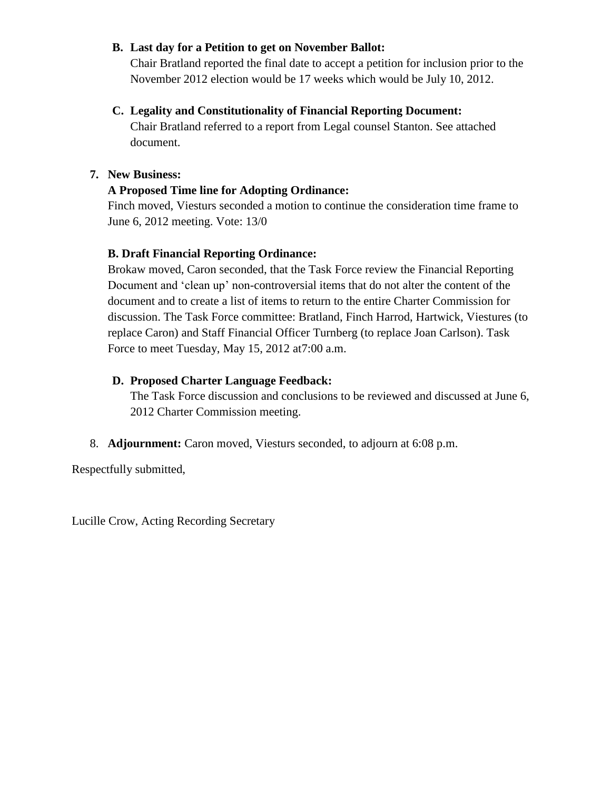### **B. Last day for a Petition to get on November Ballot:**

Chair Bratland reported the final date to accept a petition for inclusion prior to the November 2012 election would be 17 weeks which would be July 10, 2012.

### **C. Legality and Constitutionality of Financial Reporting Document:**

Chair Bratland referred to a report from Legal counsel Stanton. See attached document.

### **7. New Business:**

# **A Proposed Time line for Adopting Ordinance:**

Finch moved, Viesturs seconded a motion to continue the consideration time frame to June 6, 2012 meeting. Vote: 13/0

# **B. Draft Financial Reporting Ordinance:**

Brokaw moved, Caron seconded, that the Task Force review the Financial Reporting Document and 'clean up' non-controversial items that do not alter the content of the document and to create a list of items to return to the entire Charter Commission for discussion. The Task Force committee: Bratland, Finch Harrod, Hartwick, Viestures (to replace Caron) and Staff Financial Officer Turnberg (to replace Joan Carlson). Task Force to meet Tuesday, May 15, 2012 at7:00 a.m.

# **D. Proposed Charter Language Feedback:**

The Task Force discussion and conclusions to be reviewed and discussed at June 6, 2012 Charter Commission meeting.

### 8. **Adjournment:** Caron moved, Viesturs seconded, to adjourn at 6:08 p.m.

Respectfully submitted,

Lucille Crow, Acting Recording Secretary